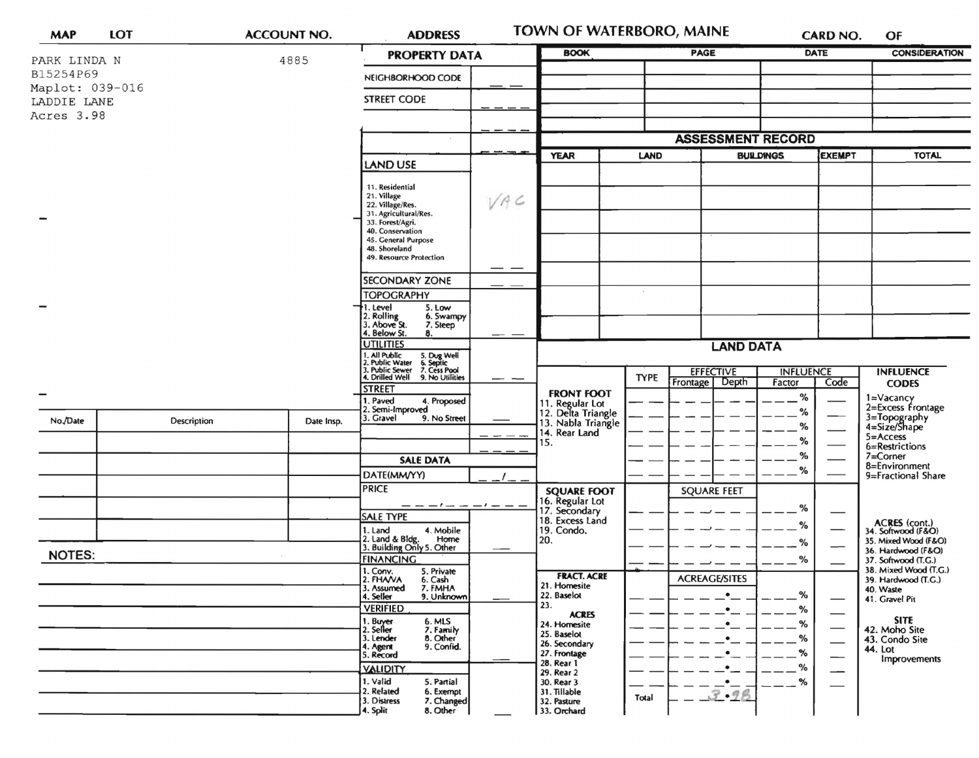| <b>MAP</b>                     | LOT |             | <b>ACCOUNT NO.</b> |                                                                                                     | <b>TOWN OF WATERBORO, MAINE</b><br><b>ADDRESS</b><br>CARD NO. |                                                                              |             |                                   |                  | OF                       |                                              |
|--------------------------------|-----|-------------|--------------------|-----------------------------------------------------------------------------------------------------|---------------------------------------------------------------|------------------------------------------------------------------------------|-------------|-----------------------------------|------------------|--------------------------|----------------------------------------------|
| PARK LINDA N                   |     |             | 4885               | <b>PROPERTY DATA</b>                                                                                |                                                               | <b>BOOK</b>                                                                  | <b>PAGE</b> |                                   | <b>DATE</b>      |                          | <b>CONSIDERATION</b>                         |
| B15254P69                      |     |             |                    | NEIGHBORHOOD CODE                                                                                   |                                                               |                                                                              |             |                                   |                  |                          |                                              |
| Maplot: 039-016<br>LADDIE LANE |     |             |                    | <b>STREET CODE</b>                                                                                  |                                                               |                                                                              |             |                                   |                  |                          |                                              |
| Acres 3.98                     |     |             |                    |                                                                                                     |                                                               |                                                                              |             |                                   |                  |                          |                                              |
|                                |     |             |                    |                                                                                                     |                                                               |                                                                              |             | <b>ASSESSMENT RECORD</b>          |                  |                          |                                              |
|                                |     |             |                    |                                                                                                     | <b>YEAR</b><br><b>LAND</b><br>LAND USE                        |                                                                              |             | <b>EXEMPT</b><br><b>BUILDINGS</b> |                  | <b>TOTAL</b>             |                                              |
|                                |     |             |                    |                                                                                                     |                                                               |                                                                              |             |                                   |                  |                          |                                              |
|                                |     |             |                    | 11. Residential<br>21. Village<br>22. Village/Res.                                                  | VAC                                                           |                                                                              |             |                                   |                  |                          |                                              |
|                                |     |             |                    | 31. Agricultural/Res.<br>33. Forest/Agri.                                                           |                                                               |                                                                              |             |                                   |                  |                          |                                              |
|                                |     |             |                    | 40. Conservation<br>45. General Purpose                                                             |                                                               |                                                                              |             |                                   |                  |                          |                                              |
|                                |     |             |                    | 48. Shoreland<br>49. Resource Protection                                                            |                                                               |                                                                              |             |                                   |                  |                          |                                              |
|                                |     |             |                    | <b>SECONDARY ZONE</b>                                                                               |                                                               |                                                                              |             |                                   |                  |                          |                                              |
|                                |     |             |                    | <b>TOPOGRAPHY</b>                                                                                   |                                                               |                                                                              |             |                                   |                  |                          |                                              |
|                                |     |             |                    | 5. Low<br>. Level<br>2. Rolling<br>3. Above St.<br>6. Swampy                                        |                                                               |                                                                              |             |                                   |                  |                          |                                              |
|                                |     |             |                    | 7. Steep<br>4. Below St.<br>8.                                                                      |                                                               |                                                                              |             |                                   |                  |                          |                                              |
|                                |     |             |                    | <b>UTILITIES</b><br>. All Public<br>5. Dug Well<br>6. Septic<br>7. Cess Pool<br><b>Public Water</b> |                                                               | <b>LAND DATA</b>                                                             |             |                                   |                  |                          |                                              |
|                                |     |             |                    | Public Sewer<br>. Drilled Well<br>9. No Utilities                                                   |                                                               |                                                                              | <b>TYPE</b> | <b>EFFECTIVE</b><br>Depth         | <b>INFLUENCE</b> | Code                     | <b>INFLUENCE</b>                             |
|                                |     |             |                    | <b>STREET</b><br>Paved<br>4. Proposed                                                               |                                                               | <b>FRONT FOOT</b>                                                            |             | Frontage                          | Factor<br>%      |                          | <b>CODES</b>                                 |
| No./Date                       |     | Description | Date Insp.         | Semi-Improved<br>Gravel<br>9. No Street                                                             |                                                               | 11. Regular Lot<br>12. Delta Triangle<br>13. Nabla Triangle<br>14. Rear Land |             |                                   | %                |                          | 1=Vacancy<br>2=Excess Frontage               |
|                                |     |             |                    |                                                                                                     |                                                               |                                                                              |             |                                   | %<br>$\%$        |                          | 3=Topography<br>4=Size/Shape<br>$5 =$ Access |
|                                |     |             |                    | <b>SALE DATA</b>                                                                                    |                                                               | 15.                                                                          |             |                                   | %                |                          | 6=Restrictions<br>7=Corner                   |
|                                |     |             |                    | DATE(MM/YY)                                                                                         |                                                               | <b>SQUARE FOOT</b>                                                           |             |                                   | %                |                          | 8=Environment<br>9=Fractional Share          |
|                                |     |             |                    | <b>PRICE</b>                                                                                        |                                                               |                                                                              |             | <b>SQUARE FEET</b>                |                  |                          |                                              |
|                                |     |             |                    | <b>SALE TYPE</b>                                                                                    |                                                               | 6. Regular Lot<br>17. Secondary                                              |             |                                   | %                |                          |                                              |
|                                |     |             |                    | 4. Mobile<br>1. Land<br>Home                                                                        |                                                               | 18. Excess Land<br>19. Condo.                                                |             |                                   | %                |                          | ACRES (cont.)<br>34. Softwood (F&O)          |
| <b>NOTES:</b>                  |     |             |                    | 2. Land & Bldg. Home<br>3. Building Only 5. Other<br><b>FINANCING</b>                               |                                                               | 20.                                                                          |             |                                   | %                |                          | 35. Mixed Wood (F&O)<br>36. Hardwood (F&O)   |
|                                |     |             |                    | 5. Private<br>1. Conv.                                                                              |                                                               | <b>FRACT. ACRE</b>                                                           |             | <b>ACREAGE/SITES</b>              | $\%$             |                          | 37. Softwood (T.G.)<br>38. Mixed Wood (T.G.) |
|                                |     |             |                    | 2. FHAVA<br>3. Assumed<br>6. Cash<br>7. FMHA<br>4. Seller<br>9. Unknown                             |                                                               | 21. Homesite<br>22. Baselot                                                  |             | $\bullet$                         | %                |                          | 39. Hardwood (T.G.)<br>40. Waste             |
|                                |     |             |                    | <b>VERIFIED</b>                                                                                     |                                                               | 23.<br><b>ACRES</b>                                                          |             | $\bullet$                         | $\%$             |                          | 41. Gravel Pit                               |
|                                |     |             |                    | 1. Buyer<br>2. Seller<br>6. MLS<br>7. Family                                                        |                                                               | 24. Homesite<br>25. Baselot                                                  |             | $\bullet$                         | %                | $\overline{\phantom{0}}$ | <b>SITE</b><br>42. Moho Site                 |
|                                |     |             |                    | 8. Other<br>3. Lender<br>9. Confid.<br>I. Agent<br>5. Record                                        |                                                               | 26. Secondary<br>27. Frontage                                                |             | $\bullet$<br>$\bullet$            | %<br>%           |                          | 43. Condo Site<br>44. Lot                    |
|                                |     |             |                    | <b>VALIDITY</b>                                                                                     |                                                               | 28. Rear 1<br>29. Rear 2                                                     |             | ٠                                 | %                |                          | Improvements                                 |
|                                |     |             |                    | 1. Valid<br>5. Partial<br>2. Related<br>6. Exempt                                                   |                                                               | 30. Rear 3<br>31. Tillable                                                   |             | $\bullet$ —<br>3.98               | %                |                          |                                              |
|                                |     |             |                    | 3. Distress<br>7. Changed<br>8. Other<br>4. Split                                                   |                                                               | 32. Pasture<br>33. Orchard                                                   | Total       |                                   |                  |                          |                                              |